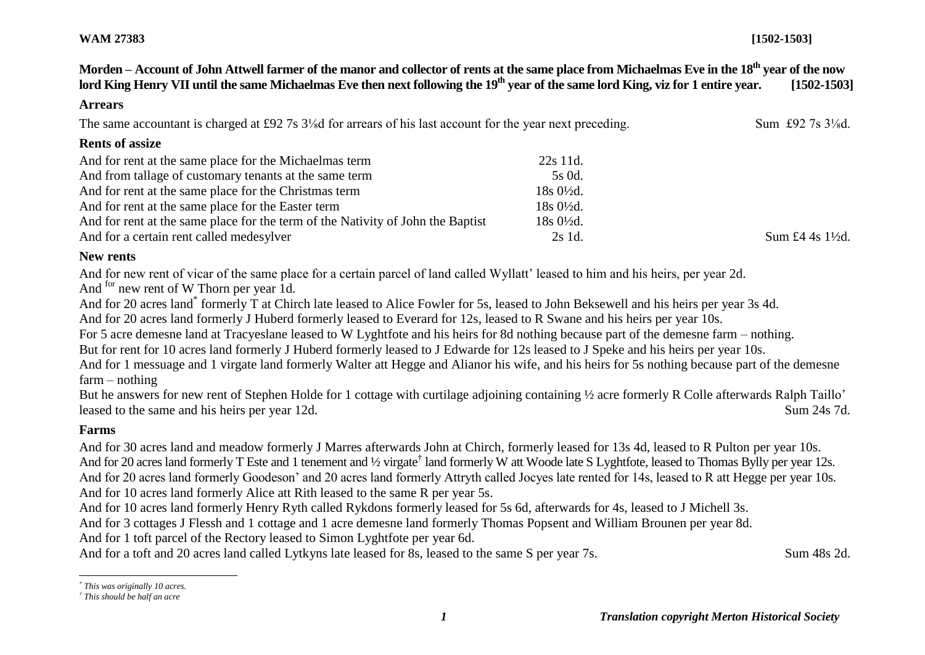# **WAM 27383 [1502-1503]**

**Morden – Account of John Attwell farmer of the manor and collector of rents at the same place from Michaelmas Eve in the 18th year of the now lord King Henry VII until the same Michaelmas Eve then next following the 19th year of the same lord King, viz for 1 entire year. [1502-1503]**

#### **Arrears**

The same accountant is charged at £92 7s 3<sup>1</sup>/<sub>8</sub>d for arrears of his last account for the year next preceding. Sum £92 7s 3<sup>1</sup>/<sub>8</sub>d.

## **Rents of assize**

| And for rent at the same place for the Michaelmas term                          | 22s 11d.             |               |
|---------------------------------------------------------------------------------|----------------------|---------------|
| And from tallage of customary tenants at the same term                          | 5s 0d.               |               |
| And for rent at the same place for the Christmas term                           | $18s0\frac{1}{2}d$ . |               |
| And for rent at the same place for the Easter term                              | $18s0\frac{1}{2}d$ . |               |
| And for rent at the same place for the term of the Nativity of John the Baptist | $18s0\frac{1}{2}d$ . |               |
| And for a certain rent called medesylver                                        | 2s 1d.               | Sum £4 4s 1\% |

# **New rents**

And for new rent of vicar of the same place for a certain parcel of land called Wyllatt' leased to him and his heirs, per year 2d.

And <sup>for</sup> new rent of W Thorn per year 1d.

And for 20 acres land\* formerly T at Chirch late leased to Alice Fowler for 5s, leased to John Beksewell and his heirs per year 3s 4d.

And for 20 acres land formerly J Huberd formerly leased to Everard for 12s, leased to R Swane and his heirs per year 10s.

For 5 acre demesne land at Tracyeslane leased to W Lyghtfote and his heirs for 8d nothing because part of the demesne farm – nothing.

But for rent for 10 acres land formerly J Huberd formerly leased to J Edwarde for 12s leased to J Speke and his heirs per year 10s.

And for 1 messuage and 1 virgate land formerly Walter att Hegge and Alianor his wife, and his heirs for 5s nothing because part of the demesne farm – nothing

But he answers for new rent of Stephen Holde for 1 cottage with curtilage adjoining containing ½ acre formerly R Colle afterwards Ralph Taillo' leased to the same and his heirs per year 12d. Sum 24s 7d.

# **Farms**

 $\overline{a}$ 

And for 30 acres land and meadow formerly J Marres afterwards John at Chirch, formerly leased for 13s 4d, leased to R Pulton per year 10s. And for 20 acres land formerly T Este and 1 tenement and 1/2 virgate<sup>†</sup> land formerly W att Woode late S Lyghtfote, leased to Thomas Bylly per year 12s. And for 20 acres land formerly Goodeson' and 20 acres land formerly Attryth called Jocyes late rented for 14s, leased to R att Hegge per year 10s. And for 10 acres land formerly Alice att Rith leased to the same R per year 5s.

And for 10 acres land formerly Henry Ryth called Rykdons formerly leased for 5s 6d, afterwards for 4s, leased to J Michell 3s.

And for 3 cottages J Flessh and 1 cottage and 1 acre demesne land formerly Thomas Popsent and William Brounen per year 8d.

And for 1 toft parcel of the Rectory leased to Simon Lyghtfote per year 6d.

And for a toft and 20 acres land called Lytkyns late leased for 8s, leased to the same S per year 7s. Sum 48s 2d.

*<sup>\*</sup> This was originally 10 acres.*

*<sup>†</sup> This should be half an acre*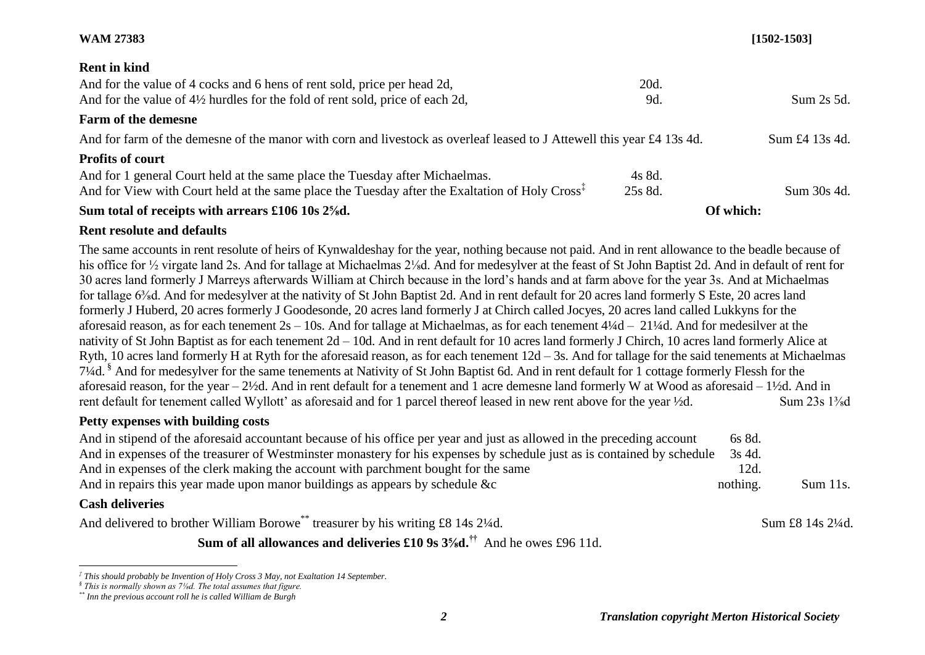## **WAM 27383 [1502-1503]**

#### **Rent in kind**

| Sum total of receipts with arrears £106 10s 2\%d.                                                                                                                                          |                   | Of which:      |
|--------------------------------------------------------------------------------------------------------------------------------------------------------------------------------------------|-------------------|----------------|
| And for 1 general Court held at the same place the Tuesday after Michaelmas.<br>And for View with Court held at the same place the Tuesday after the Exaltation of Holy Cross <sup>1</sup> | 4s 8d.<br>25s 8d. | Sum 30s 4d.    |
| <b>Profits of court</b>                                                                                                                                                                    |                   |                |
| And for farm of the demesne of the manor with corn and livestock as overleaf leased to J Attewell this year £4 13s 4d.                                                                     |                   | Sum £4 13s 4d. |
| Farm of the demesne                                                                                                                                                                        |                   |                |
| And for the value of 4½ hurdles for the fold of rent sold, price of each 2d,                                                                                                               | 9d.               | Sum 2s 5d.     |
| And for the value of 4 cocks and 6 hens of rent sold, price per head 2d,                                                                                                                   | 20d.              |                |

# **Rent resolute and defaults**

The same accounts in rent resolute of heirs of Kynwaldeshay for the year, nothing because not paid. And in rent allowance to the beadle because of his office for ½ virgate land 2s. And for tallage at Michaelmas 2¼d. And for medesylver at the feast of St John Baptist 2d. And in default of rent for 30 acres land formerly J Marreys afterwards William at Chirch because in the lord's hands and at farm above for the year 3s. And at Michaelmas for tallage 6⅜d. And for medesylver at the nativity of St John Baptist 2d. And in rent default for 20 acres land formerly S Este, 20 acres land formerly J Huberd, 20 acres formerly J Goodesonde, 20 acres land formerly J at Chirch called Jocyes, 20 acres land called Lukkyns for the aforesaid reason, as for each tenement 2s – 10s. And for tallage at Michaelmas, as for each tenement 4¼d – 21¼d. And for medesilver at the nativity of St John Baptist as for each tenement 2d – 10d. And in rent default for 10 acres land formerly J Chirch, 10 acres land formerly Alice at Ryth, 10 acres land formerly H at Ryth for the aforesaid reason, as for each tenement 12d – 3s. And for tallage for the said tenements at Michaelmas 7¼d. § And for medesylver for the same tenements at Nativity of St John Baptist 6d. And in rent default for 1 cottage formerly Flessh for the aforesaid reason, for the year – 2½d. And in rent default for a tenement and 1 acre demesne land formerly W at Wood as aforesaid – 1½d. And in rent default for tenement called Wyllott' as aforesaid and for 1 parcel thereof leased in new rent above for the year ½d. Sum 23s 1⅜d

#### **Petty expenses with building costs**

| And in stipend of the aforesaid accountant because of his office per year and just as allowed in the preceding account<br>6s 8d.  |             |
|-----------------------------------------------------------------------------------------------------------------------------------|-------------|
| And in expenses of the treasurer of Westminster monastery for his expenses by schedule just as is contained by schedule<br>3s 4d. |             |
| And in expenses of the clerk making the account with parchment bought for the same<br>12d.                                        |             |
| And in repairs this year made upon manor buildings as appears by schedule &c<br>nothing.                                          | $Sum 11s$ . |

# **Cash deliveries**

l

And delivered to brother William Borowe<sup>\*\*</sup> treasurer by his writing £8 14s 2¼d. Sum £8 14s 2¼d.

**Sum of all allowances and deliveries £10 9s 3⅝d.††** And he owes £96 11d.

*<sup>‡</sup> This should probably be Invention of Holy Cross 3 May, not Exaltation 14 September.*

*<sup>§</sup> This is normally shown as 7⅛d. The total assumes that figure.*

*<sup>\*\*</sup> Inn the previous account roll he is called William de Burgh*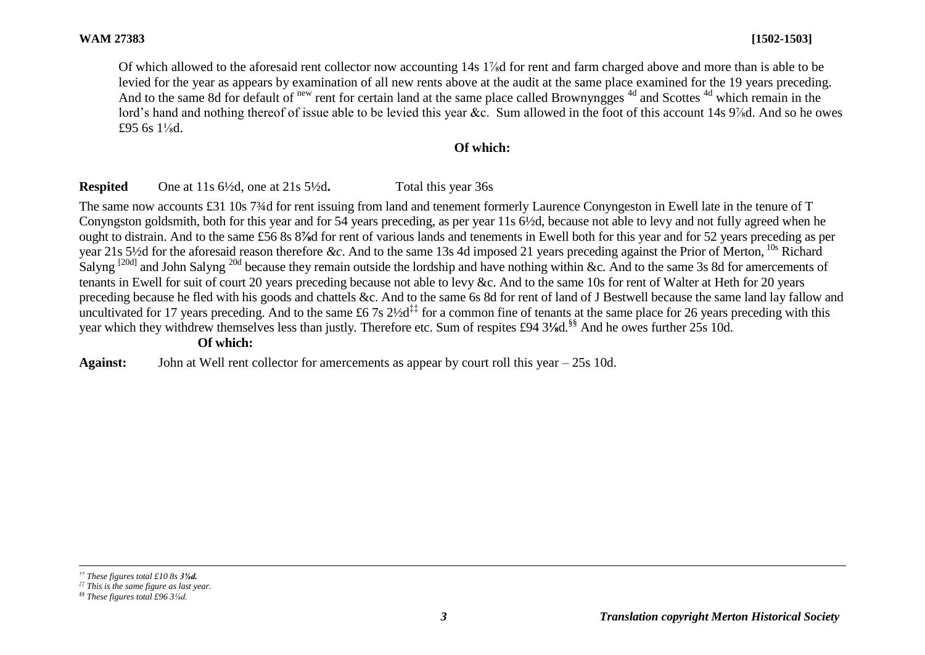Of which allowed to the aforesaid rent collector now accounting 14s 1⅞d for rent and farm charged above and more than is able to be levied for the year as appears by examination of all new rents above at the audit at the same place examined for the 19 years preceding. And to the same 8d for default of new rent for certain land at the same place called Brownyngges <sup>4d</sup> and Scottes <sup>4d</sup> which remain in the lord's hand and nothing thereof of issue able to be levied this year &c. Sum allowed in the foot of this account 14s 9‰d. And so he owes £95 6s 1⅛d.

# **Of which:**

# **Respited** One at 11s 6½d, one at 21s 5½d**.** Total this year 36s

The same now accounts £31 10s 7<sup>3</sup>/4d for rent issuing from land and tenement formerly Laurence Convingeston in Ewell late in the tenure of T Conyngston goldsmith, both for this year and for 54 years preceding, as per year 11s 6½d, because not able to levy and not fully agreed when he ought to distrain. And to the same £56 8s 8**⅞**d for rent of various lands and tenements in Ewell both for this year and for 52 years preceding as per year 21s 5½d for the aforesaid reason therefore *&c*. And to the same 13s 4d imposed 21 years preceding against the Prior of Merton, 10s Richard Salyng [20d] and John Salyng 20d because they remain outside the lordship and have nothing within &c*.* And to the same 3s 8d for amercements of tenants in Ewell for suit of court 20 years preceding because not able to levy &c. And to the same 10s for rent of Walter at Heth for 20 years preceding because he fled with his goods and chattels &c. And to the same 6s 8d for rent of land of J Bestwell because the same land lay fallow and uncultivated for 17 years preceding. And to the same £6.7s  $2\frac{1}{2}$  for a common fine of tenants at the same place for 26 years preceding with this year which they withdrew themselves less than justly*.* Therefore etc. Sum of respites £94 3**⅛**d.§§ And he owes further 25s 10d.

#### **Of which:**

**Against:** John at Well rent collector for amercements as appear by court roll this year – 25s 10d.

l *†† These figures total £10 8s 3⅝d.*

*<sup>‡‡</sup> This is the same figure as last year.*

*<sup>§§</sup> These figures total £96 3⅛d.*